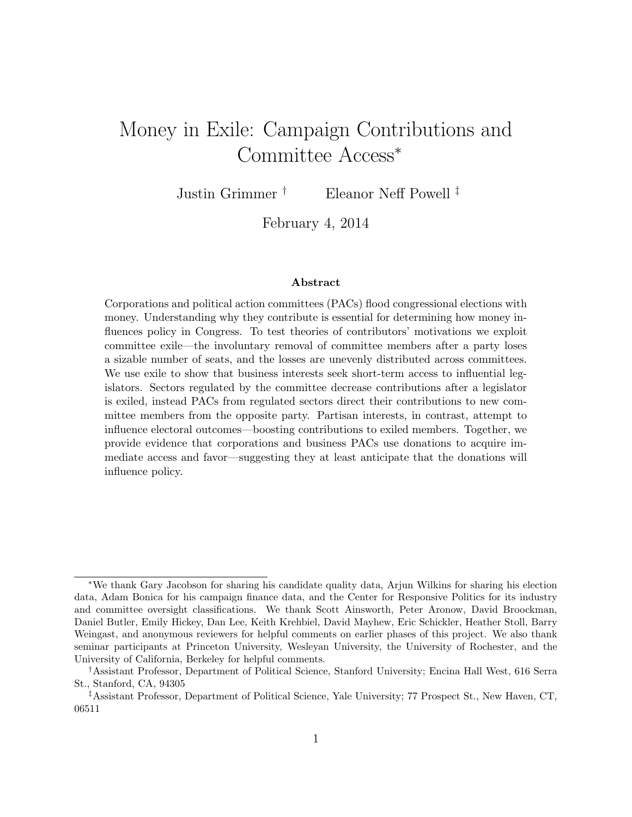# Money in Exile: Campaign Contributions and Committee Access<sup>∗</sup>

Justin Grimmer † Eleanor Neff Powell ‡

February 4, 2014

#### Abstract

Corporations and political action committees (PACs) flood congressional elections with money. Understanding why they contribute is essential for determining how money influences policy in Congress. To test theories of contributors' motivations we exploit committee exile—the involuntary removal of committee members after a party loses a sizable number of seats, and the losses are unevenly distributed across committees. We use exile to show that business interests seek short-term access to influential legislators. Sectors regulated by the committee decrease contributions after a legislator is exiled, instead PACs from regulated sectors direct their contributions to new committee members from the opposite party. Partisan interests, in contrast, attempt to influence electoral outcomes—boosting contributions to exiled members. Together, we provide evidence that corporations and business PACs use donations to acquire immediate access and favor—suggesting they at least anticipate that the donations will influence policy.

<sup>∗</sup>We thank Gary Jacobson for sharing his candidate quality data, Arjun Wilkins for sharing his election data, Adam Bonica for his campaign finance data, and the Center for Responsive Politics for its industry and committee oversight classifications. We thank Scott Ainsworth, Peter Aronow, David Broockman, Daniel Butler, Emily Hickey, Dan Lee, Keith Krehbiel, David Mayhew, Eric Schickler, Heather Stoll, Barry Weingast, and anonymous reviewers for helpful comments on earlier phases of this project. We also thank seminar participants at Princeton University, Wesleyan University, the University of Rochester, and the University of California, Berkeley for helpful comments.

<sup>†</sup>Assistant Professor, Department of Political Science, Stanford University; Encina Hall West, 616 Serra St., Stanford, CA, 94305

<sup>‡</sup>Assistant Professor, Department of Political Science, Yale University; 77 Prospect St., New Haven, CT, 06511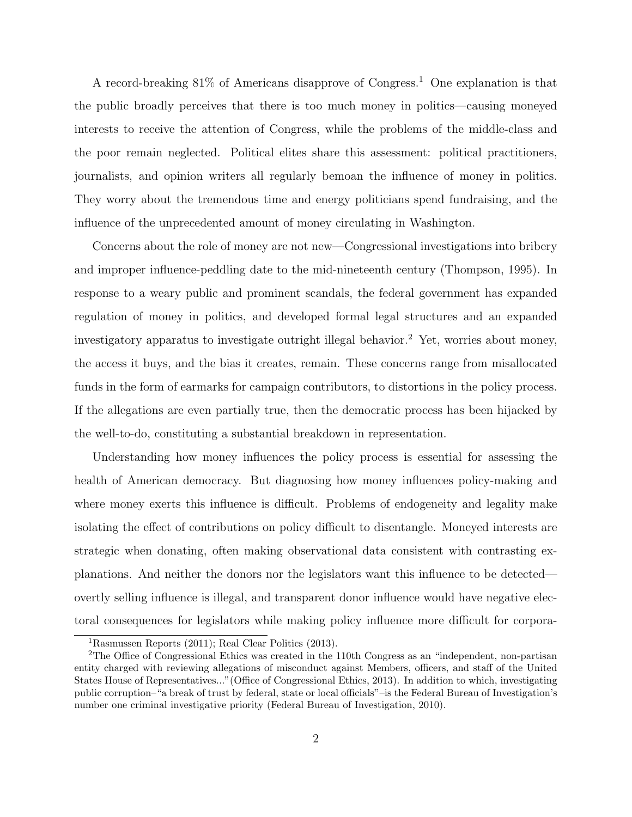A record-breaking  $81\%$  of Americans disapprove of Congress.<sup>1</sup> One explanation is that the public broadly perceives that there is too much money in politics—causing moneyed interests to receive the attention of Congress, while the problems of the middle-class and the poor remain neglected. Political elites share this assessment: political practitioners, journalists, and opinion writers all regularly bemoan the influence of money in politics. They worry about the tremendous time and energy politicians spend fundraising, and the influence of the unprecedented amount of money circulating in Washington.

Concerns about the role of money are not new—Congressional investigations into bribery and improper influence-peddling date to the mid-nineteenth century (Thompson, 1995). In response to a weary public and prominent scandals, the federal government has expanded regulation of money in politics, and developed formal legal structures and an expanded investigatory apparatus to investigate outright illegal behavior.<sup>2</sup> Yet, worries about money, the access it buys, and the bias it creates, remain. These concerns range from misallocated funds in the form of earmarks for campaign contributors, to distortions in the policy process. If the allegations are even partially true, then the democratic process has been hijacked by the well-to-do, constituting a substantial breakdown in representation.

Understanding how money influences the policy process is essential for assessing the health of American democracy. But diagnosing how money influences policy-making and where money exerts this influence is difficult. Problems of endogeneity and legality make isolating the effect of contributions on policy difficult to disentangle. Moneyed interests are strategic when donating, often making observational data consistent with contrasting explanations. And neither the donors nor the legislators want this influence to be detected overtly selling influence is illegal, and transparent donor influence would have negative electoral consequences for legislators while making policy influence more difficult for corpora-

<sup>1</sup>Rasmussen Reports (2011); Real Clear Politics (2013).

<sup>2</sup>The Office of Congressional Ethics was created in the 110th Congress as an "independent, non-partisan entity charged with reviewing allegations of misconduct against Members, officers, and staff of the United States House of Representatives..."(Office of Congressional Ethics, 2013). In addition to which, investigating public corruption–"a break of trust by federal, state or local officials"–is the Federal Bureau of Investigation's number one criminal investigative priority (Federal Bureau of Investigation, 2010).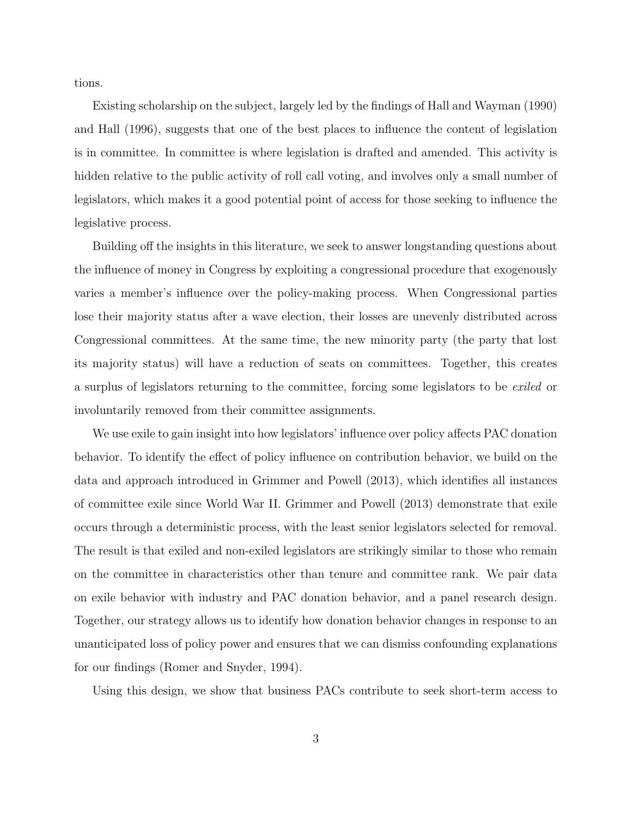tions.

Existing scholarship on the subject, largely led by the findings of Hall and Wayman (1990) and Hall (1996), suggests that one of the best places to influence the content of legislation is in committee. In committee is where legislation is drafted and amended. This activity is hidden relative to the public activity of roll call voting, and involves only a small number of legislators, which makes it a good potential point of access for those seeking to influence the legislative process.

Building off the insights in this literature, we seek to answer longstanding questions about the influence of money in Congress by exploiting a congressional procedure that exogenously varies a member's influence over the policy-making process. When Congressional parties lose their majority status after a wave election, their losses are unevenly distributed across Congressional committees. At the same time, the new minority party (the party that lost its majority status) will have a reduction of seats on committees. Together, this creates a surplus of legislators returning to the committee, forcing some legislators to be exiled or involuntarily removed from their committee assignments.

We use exile to gain insight into how legislators' influence over policy affects PAC donation behavior. To identify the effect of policy influence on contribution behavior, we build on the data and approach introduced in Grimmer and Powell (2013), which identifies all instances of committee exile since World War II. Grimmer and Powell (2013) demonstrate that exile occurs through a deterministic process, with the least senior legislators selected for removal. The result is that exiled and non-exiled legislators are strikingly similar to those who remain on the committee in characteristics other than tenure and committee rank. We pair data on exile behavior with industry and PAC donation behavior, and a panel research design. Together, our strategy allows us to identify how donation behavior changes in response to an unanticipated loss of policy power and ensures that we can dismiss confounding explanations for our findings (Romer and Snyder, 1994).

Using this design, we show that business PACs contribute to seek short-term access to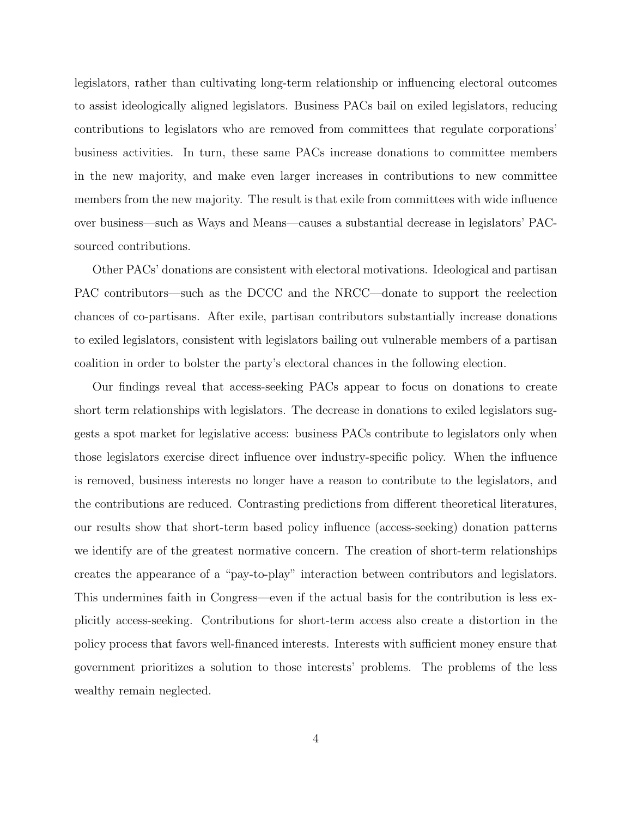legislators, rather than cultivating long-term relationship or influencing electoral outcomes to assist ideologically aligned legislators. Business PACs bail on exiled legislators, reducing contributions to legislators who are removed from committees that regulate corporations' business activities. In turn, these same PACs increase donations to committee members in the new majority, and make even larger increases in contributions to new committee members from the new majority. The result is that exile from committees with wide influence over business—such as Ways and Means—causes a substantial decrease in legislators' PACsourced contributions.

Other PACs' donations are consistent with electoral motivations. Ideological and partisan PAC contributors—such as the DCCC and the NRCC—donate to support the reelection chances of co-partisans. After exile, partisan contributors substantially increase donations to exiled legislators, consistent with legislators bailing out vulnerable members of a partisan coalition in order to bolster the party's electoral chances in the following election.

Our findings reveal that access-seeking PACs appear to focus on donations to create short term relationships with legislators. The decrease in donations to exiled legislators suggests a spot market for legislative access: business PACs contribute to legislators only when those legislators exercise direct influence over industry-specific policy. When the influence is removed, business interests no longer have a reason to contribute to the legislators, and the contributions are reduced. Contrasting predictions from different theoretical literatures, our results show that short-term based policy influence (access-seeking) donation patterns we identify are of the greatest normative concern. The creation of short-term relationships creates the appearance of a "pay-to-play" interaction between contributors and legislators. This undermines faith in Congress—even if the actual basis for the contribution is less explicitly access-seeking. Contributions for short-term access also create a distortion in the policy process that favors well-financed interests. Interests with sufficient money ensure that government prioritizes a solution to those interests' problems. The problems of the less wealthy remain neglected.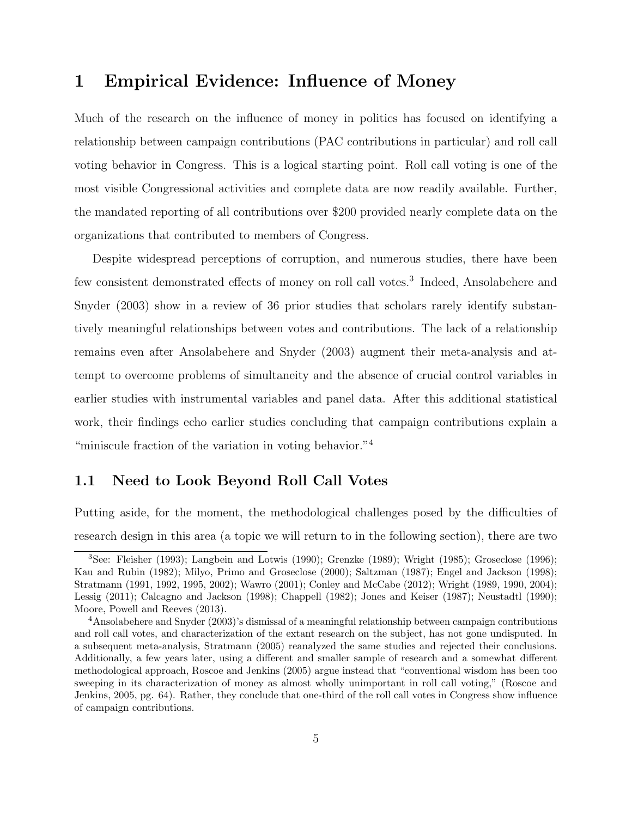## 1 Empirical Evidence: Influence of Money

Much of the research on the influence of money in politics has focused on identifying a relationship between campaign contributions (PAC contributions in particular) and roll call voting behavior in Congress. This is a logical starting point. Roll call voting is one of the most visible Congressional activities and complete data are now readily available. Further, the mandated reporting of all contributions over \$200 provided nearly complete data on the organizations that contributed to members of Congress.

Despite widespread perceptions of corruption, and numerous studies, there have been few consistent demonstrated effects of money on roll call votes.<sup>3</sup> Indeed, Ansolabehere and Snyder (2003) show in a review of 36 prior studies that scholars rarely identify substantively meaningful relationships between votes and contributions. The lack of a relationship remains even after Ansolabehere and Snyder (2003) augment their meta-analysis and attempt to overcome problems of simultaneity and the absence of crucial control variables in earlier studies with instrumental variables and panel data. After this additional statistical work, their findings echo earlier studies concluding that campaign contributions explain a "miniscule fraction of the variation in voting behavior."<sup>4</sup>

#### 1.1 Need to Look Beyond Roll Call Votes

Putting aside, for the moment, the methodological challenges posed by the difficulties of research design in this area (a topic we will return to in the following section), there are two

<sup>3</sup>See: Fleisher (1993); Langbein and Lotwis (1990); Grenzke (1989); Wright (1985); Groseclose (1996); Kau and Rubin (1982); Milyo, Primo and Groseclose (2000); Saltzman (1987); Engel and Jackson (1998); Stratmann (1991, 1992, 1995, 2002); Wawro (2001); Conley and McCabe (2012); Wright (1989, 1990, 2004); Lessig (2011); Calcagno and Jackson (1998); Chappell (1982); Jones and Keiser (1987); Neustadtl (1990); Moore, Powell and Reeves (2013).

<sup>4</sup>Ansolabehere and Snyder (2003)'s dismissal of a meaningful relationship between campaign contributions and roll call votes, and characterization of the extant research on the subject, has not gone undisputed. In a subsequent meta-analysis, Stratmann (2005) reanalyzed the same studies and rejected their conclusions. Additionally, a few years later, using a different and smaller sample of research and a somewhat different methodological approach, Roscoe and Jenkins (2005) argue instead that "conventional wisdom has been too sweeping in its characterization of money as almost wholly unimportant in roll call voting," (Roscoe and Jenkins, 2005, pg. 64). Rather, they conclude that one-third of the roll call votes in Congress show influence of campaign contributions.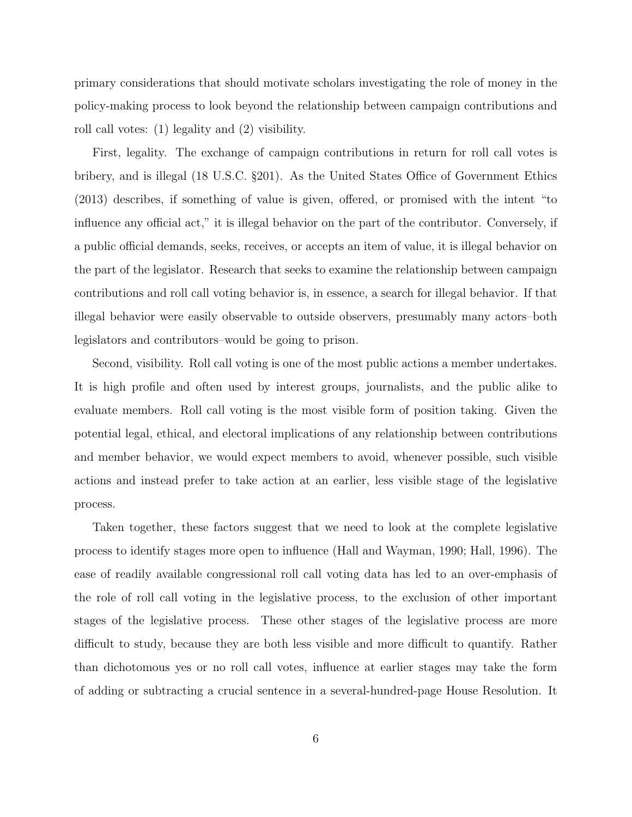primary considerations that should motivate scholars investigating the role of money in the policy-making process to look beyond the relationship between campaign contributions and roll call votes: (1) legality and (2) visibility.

First, legality. The exchange of campaign contributions in return for roll call votes is bribery, and is illegal (18 U.S.C. §201). As the United States Office of Government Ethics (2013) describes, if something of value is given, offered, or promised with the intent "to influence any official act," it is illegal behavior on the part of the contributor. Conversely, if a public official demands, seeks, receives, or accepts an item of value, it is illegal behavior on the part of the legislator. Research that seeks to examine the relationship between campaign contributions and roll call voting behavior is, in essence, a search for illegal behavior. If that illegal behavior were easily observable to outside observers, presumably many actors–both legislators and contributors–would be going to prison.

Second, visibility. Roll call voting is one of the most public actions a member undertakes. It is high profile and often used by interest groups, journalists, and the public alike to evaluate members. Roll call voting is the most visible form of position taking. Given the potential legal, ethical, and electoral implications of any relationship between contributions and member behavior, we would expect members to avoid, whenever possible, such visible actions and instead prefer to take action at an earlier, less visible stage of the legislative process.

Taken together, these factors suggest that we need to look at the complete legislative process to identify stages more open to influence (Hall and Wayman, 1990; Hall, 1996). The ease of readily available congressional roll call voting data has led to an over-emphasis of the role of roll call voting in the legislative process, to the exclusion of other important stages of the legislative process. These other stages of the legislative process are more difficult to study, because they are both less visible and more difficult to quantify. Rather than dichotomous yes or no roll call votes, influence at earlier stages may take the form of adding or subtracting a crucial sentence in a several-hundred-page House Resolution. It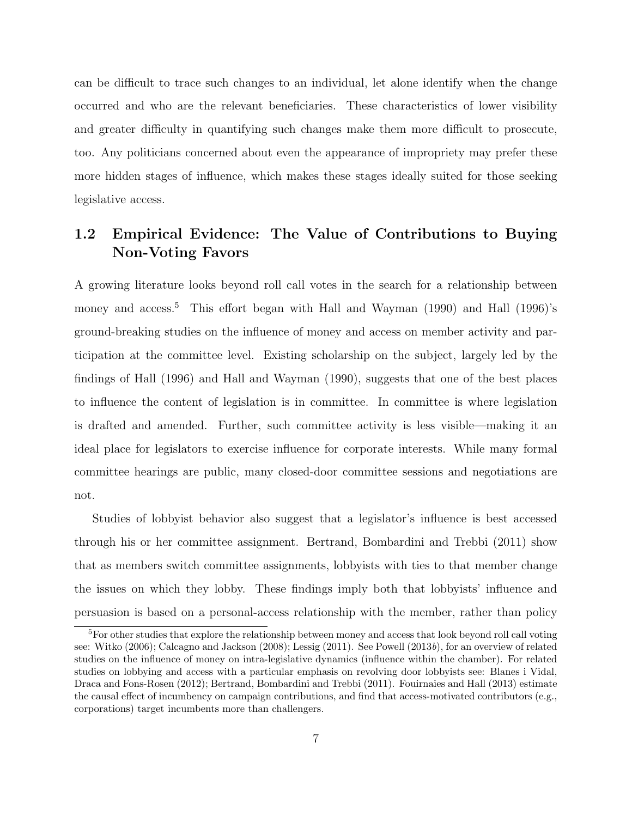can be difficult to trace such changes to an individual, let alone identify when the change occurred and who are the relevant beneficiaries. These characteristics of lower visibility and greater difficulty in quantifying such changes make them more difficult to prosecute, too. Any politicians concerned about even the appearance of impropriety may prefer these more hidden stages of influence, which makes these stages ideally suited for those seeking legislative access.

#### 1.2 Empirical Evidence: The Value of Contributions to Buying Non-Voting Favors

A growing literature looks beyond roll call votes in the search for a relationship between money and access.<sup>5</sup> This effort began with Hall and Wayman (1990) and Hall (1996)'s ground-breaking studies on the influence of money and access on member activity and participation at the committee level. Existing scholarship on the subject, largely led by the findings of Hall (1996) and Hall and Wayman (1990), suggests that one of the best places to influence the content of legislation is in committee. In committee is where legislation is drafted and amended. Further, such committee activity is less visible—making it an ideal place for legislators to exercise influence for corporate interests. While many formal committee hearings are public, many closed-door committee sessions and negotiations are not.

Studies of lobbyist behavior also suggest that a legislator's influence is best accessed through his or her committee assignment. Bertrand, Bombardini and Trebbi (2011) show that as members switch committee assignments, lobbyists with ties to that member change the issues on which they lobby. These findings imply both that lobbyists' influence and persuasion is based on a personal-access relationship with the member, rather than policy

<sup>&</sup>lt;sup>5</sup>For other studies that explore the relationship between money and access that look beyond roll call voting see: Witko (2006); Calcagno and Jackson (2008); Lessig (2011). See Powell (2013b), for an overview of related studies on the influence of money on intra-legislative dynamics (influence within the chamber). For related studies on lobbying and access with a particular emphasis on revolving door lobbyists see: Blanes i Vidal, Draca and Fons-Rosen (2012); Bertrand, Bombardini and Trebbi (2011). Fouirnaies and Hall (2013) estimate the causal effect of incumbency on campaign contributions, and find that access-motivated contributors (e.g., corporations) target incumbents more than challengers.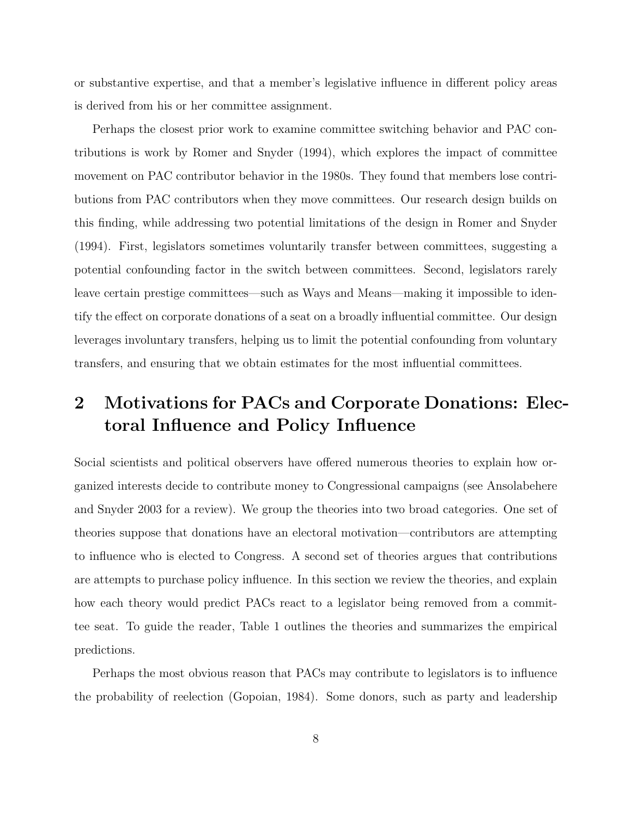or substantive expertise, and that a member's legislative influence in different policy areas is derived from his or her committee assignment.

Perhaps the closest prior work to examine committee switching behavior and PAC contributions is work by Romer and Snyder (1994), which explores the impact of committee movement on PAC contributor behavior in the 1980s. They found that members lose contributions from PAC contributors when they move committees. Our research design builds on this finding, while addressing two potential limitations of the design in Romer and Snyder (1994). First, legislators sometimes voluntarily transfer between committees, suggesting a potential confounding factor in the switch between committees. Second, legislators rarely leave certain prestige committees—such as Ways and Means—making it impossible to identify the effect on corporate donations of a seat on a broadly influential committee. Our design leverages involuntary transfers, helping us to limit the potential confounding from voluntary transfers, and ensuring that we obtain estimates for the most influential committees.

## 2 Motivations for PACs and Corporate Donations: Electoral Influence and Policy Influence

Social scientists and political observers have offered numerous theories to explain how organized interests decide to contribute money to Congressional campaigns (see Ansolabehere and Snyder 2003 for a review). We group the theories into two broad categories. One set of theories suppose that donations have an electoral motivation—contributors are attempting to influence who is elected to Congress. A second set of theories argues that contributions are attempts to purchase policy influence. In this section we review the theories, and explain how each theory would predict PACs react to a legislator being removed from a committee seat. To guide the reader, Table 1 outlines the theories and summarizes the empirical predictions.

Perhaps the most obvious reason that PACs may contribute to legislators is to influence the probability of reelection (Gopoian, 1984). Some donors, such as party and leadership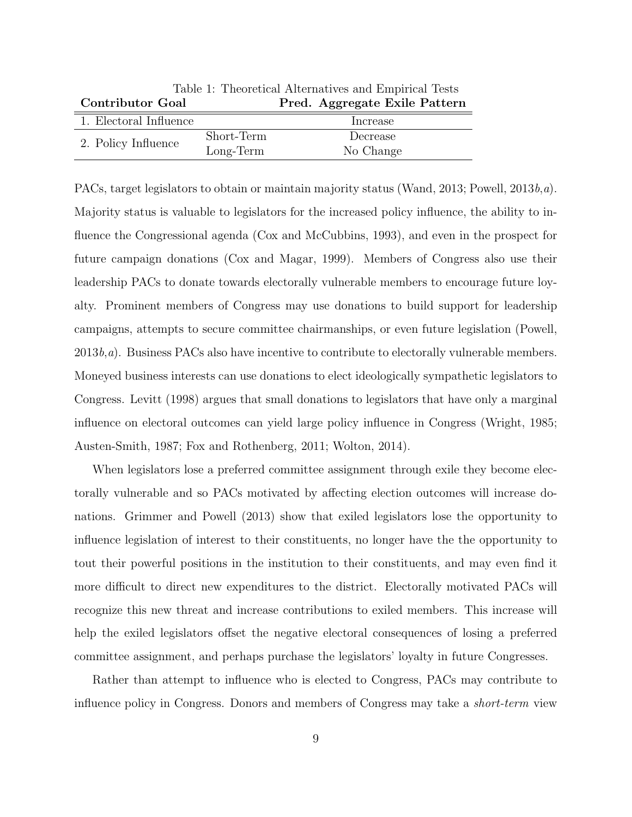| Table 1: Theoretical Alternatives and Empirical Tests |             |                               |  |  |  |  |
|-------------------------------------------------------|-------------|-------------------------------|--|--|--|--|
| <b>Contributor Goal</b>                               |             | Pred. Aggregate Exile Pattern |  |  |  |  |
| 1. Electoral Influence                                |             | Increase                      |  |  |  |  |
| 2. Policy Influence                                   | Short-Term  | Decrease                      |  |  |  |  |
|                                                       | $Long-Term$ | No Change                     |  |  |  |  |

PACs, target legislators to obtain or maintain majority status (Wand, 2013; Powell,  $2013b,a$ ). Majority status is valuable to legislators for the increased policy influence, the ability to influence the Congressional agenda (Cox and McCubbins, 1993), and even in the prospect for future campaign donations (Cox and Magar, 1999). Members of Congress also use their leadership PACs to donate towards electorally vulnerable members to encourage future loyalty. Prominent members of Congress may use donations to build support for leadership campaigns, attempts to secure committee chairmanships, or even future legislation (Powell,  $2013b,a$ ). Business PACs also have incentive to contribute to electorally vulnerable members. Moneyed business interests can use donations to elect ideologically sympathetic legislators to Congress. Levitt (1998) argues that small donations to legislators that have only a marginal influence on electoral outcomes can yield large policy influence in Congress (Wright, 1985; Austen-Smith, 1987; Fox and Rothenberg, 2011; Wolton, 2014).

When legislators lose a preferred committee assignment through exile they become electorally vulnerable and so PACs motivated by affecting election outcomes will increase donations. Grimmer and Powell (2013) show that exiled legislators lose the opportunity to influence legislation of interest to their constituents, no longer have the the opportunity to tout their powerful positions in the institution to their constituents, and may even find it more difficult to direct new expenditures to the district. Electorally motivated PACs will recognize this new threat and increase contributions to exiled members. This increase will help the exiled legislators offset the negative electoral consequences of losing a preferred committee assignment, and perhaps purchase the legislators' loyalty in future Congresses.

Rather than attempt to influence who is elected to Congress, PACs may contribute to influence policy in Congress. Donors and members of Congress may take a *short-term* view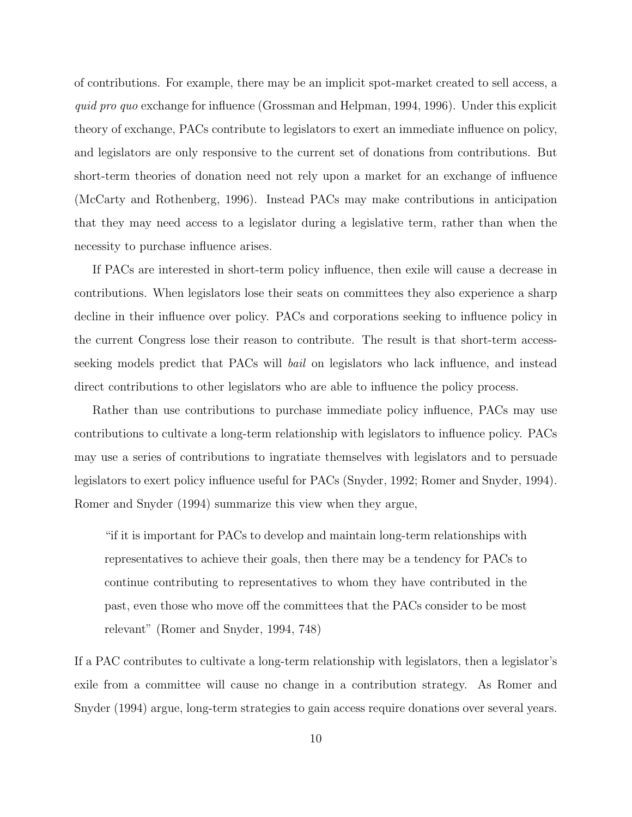of contributions. For example, there may be an implicit spot-market created to sell access, a quid pro quo exchange for influence (Grossman and Helpman, 1994, 1996). Under this explicit theory of exchange, PACs contribute to legislators to exert an immediate influence on policy, and legislators are only responsive to the current set of donations from contributions. But short-term theories of donation need not rely upon a market for an exchange of influence (McCarty and Rothenberg, 1996). Instead PACs may make contributions in anticipation that they may need access to a legislator during a legislative term, rather than when the necessity to purchase influence arises.

If PACs are interested in short-term policy influence, then exile will cause a decrease in contributions. When legislators lose their seats on committees they also experience a sharp decline in their influence over policy. PACs and corporations seeking to influence policy in the current Congress lose their reason to contribute. The result is that short-term accessseeking models predict that PACs will bail on legislators who lack influence, and instead direct contributions to other legislators who are able to influence the policy process.

Rather than use contributions to purchase immediate policy influence, PACs may use contributions to cultivate a long-term relationship with legislators to influence policy. PACs may use a series of contributions to ingratiate themselves with legislators and to persuade legislators to exert policy influence useful for PACs (Snyder, 1992; Romer and Snyder, 1994). Romer and Snyder (1994) summarize this view when they argue,

"if it is important for PACs to develop and maintain long-term relationships with representatives to achieve their goals, then there may be a tendency for PACs to continue contributing to representatives to whom they have contributed in the past, even those who move off the committees that the PACs consider to be most relevant" (Romer and Snyder, 1994, 748)

If a PAC contributes to cultivate a long-term relationship with legislators, then a legislator's exile from a committee will cause no change in a contribution strategy. As Romer and Snyder (1994) argue, long-term strategies to gain access require donations over several years.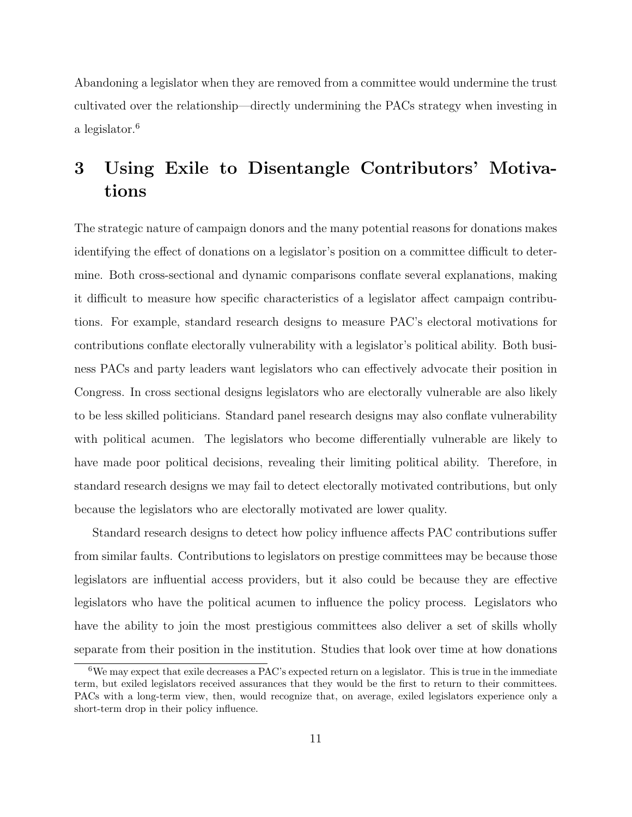Abandoning a legislator when they are removed from a committee would undermine the trust cultivated over the relationship—directly undermining the PACs strategy when investing in a legislator.<sup>6</sup>

## 3 Using Exile to Disentangle Contributors' Motivations

The strategic nature of campaign donors and the many potential reasons for donations makes identifying the effect of donations on a legislator's position on a committee difficult to determine. Both cross-sectional and dynamic comparisons conflate several explanations, making it difficult to measure how specific characteristics of a legislator affect campaign contributions. For example, standard research designs to measure PAC's electoral motivations for contributions conflate electorally vulnerability with a legislator's political ability. Both business PACs and party leaders want legislators who can effectively advocate their position in Congress. In cross sectional designs legislators who are electorally vulnerable are also likely to be less skilled politicians. Standard panel research designs may also conflate vulnerability with political acumen. The legislators who become differentially vulnerable are likely to have made poor political decisions, revealing their limiting political ability. Therefore, in standard research designs we may fail to detect electorally motivated contributions, but only because the legislators who are electorally motivated are lower quality.

Standard research designs to detect how policy influence affects PAC contributions suffer from similar faults. Contributions to legislators on prestige committees may be because those legislators are influential access providers, but it also could be because they are effective legislators who have the political acumen to influence the policy process. Legislators who have the ability to join the most prestigious committees also deliver a set of skills wholly separate from their position in the institution. Studies that look over time at how donations

 $6$ We may expect that exile decreases a PAC's expected return on a legislator. This is true in the immediate term, but exiled legislators received assurances that they would be the first to return to their committees. PACs with a long-term view, then, would recognize that, on average, exiled legislators experience only a short-term drop in their policy influence.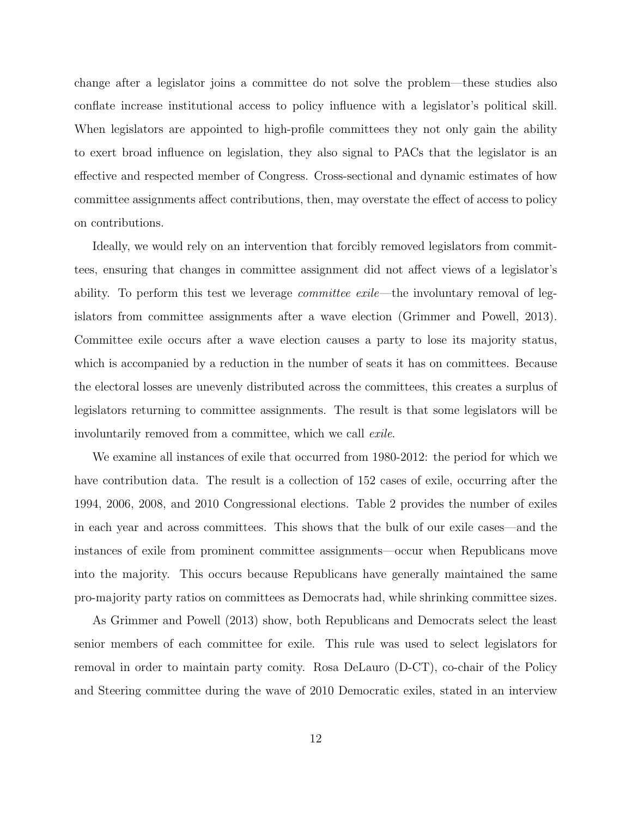change after a legislator joins a committee do not solve the problem—these studies also conflate increase institutional access to policy influence with a legislator's political skill. When legislators are appointed to high-profile committees they not only gain the ability to exert broad influence on legislation, they also signal to PACs that the legislator is an effective and respected member of Congress. Cross-sectional and dynamic estimates of how committee assignments affect contributions, then, may overstate the effect of access to policy on contributions.

Ideally, we would rely on an intervention that forcibly removed legislators from committees, ensuring that changes in committee assignment did not affect views of a legislator's ability. To perform this test we leverage *committee exile*—the involuntary removal of legislators from committee assignments after a wave election (Grimmer and Powell, 2013). Committee exile occurs after a wave election causes a party to lose its majority status, which is accompanied by a reduction in the number of seats it has on committees. Because the electoral losses are unevenly distributed across the committees, this creates a surplus of legislators returning to committee assignments. The result is that some legislators will be involuntarily removed from a committee, which we call exile.

We examine all instances of exile that occurred from 1980-2012: the period for which we have contribution data. The result is a collection of 152 cases of exile, occurring after the 1994, 2006, 2008, and 2010 Congressional elections. Table 2 provides the number of exiles in each year and across committees. This shows that the bulk of our exile cases—and the instances of exile from prominent committee assignments—occur when Republicans move into the majority. This occurs because Republicans have generally maintained the same pro-majority party ratios on committees as Democrats had, while shrinking committee sizes.

As Grimmer and Powell (2013) show, both Republicans and Democrats select the least senior members of each committee for exile. This rule was used to select legislators for removal in order to maintain party comity. Rosa DeLauro (D-CT), co-chair of the Policy and Steering committee during the wave of 2010 Democratic exiles, stated in an interview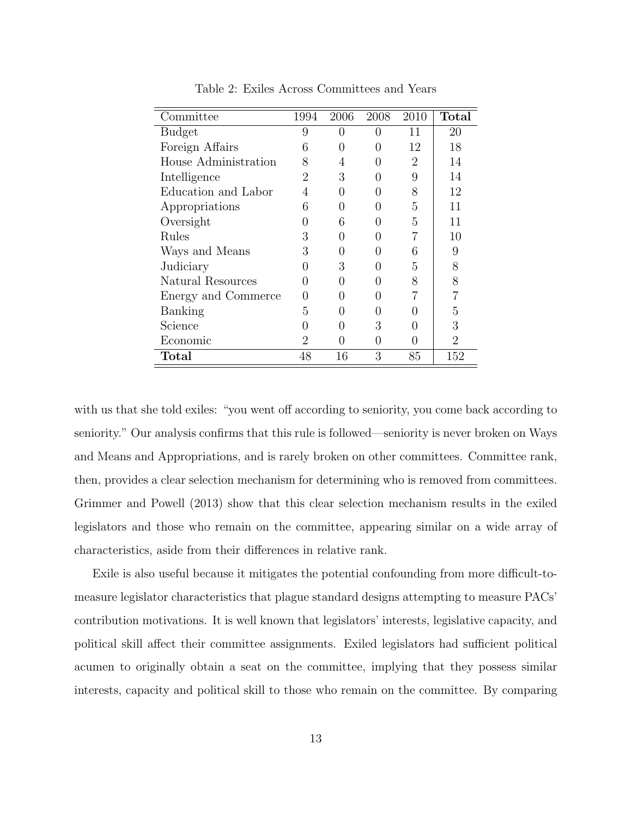| Committee            | 1994 | 2006          | 2008          | 2010           | <b>Total</b>   |
|----------------------|------|---------------|---------------|----------------|----------------|
| <b>Budget</b>        | 9    | 0             | $\mathbf{0}$  | 11             | 20             |
| Foreign Affairs      | 6    | 0             | $^{(1)}$      | 12             | 18             |
| House Administration | 8    | 4             |               | $\overline{2}$ | 14             |
| Intelligence         | 2    | 3             | $\mathcal{O}$ | 9              | 14             |
| Education and Labor  | 4    | O             | 0             | 8              | 12             |
| Appropriations       | 6    | $\mathcal{O}$ | 0             | 5              | 11             |
| Oversight            |      | 6             | 0             | 5              | 11             |
| Rules                | 3    | O             |               | 7              | 10             |
| Ways and Means       | 3    |               |               | 6              | 9              |
| Judiciary            |      | 3             |               | 5              | 8              |
| Natural Resources    |      |               | 0             | 8              | 8              |
| Energy and Commerce  |      |               | 0             |                |                |
| Banking              | 5    |               | 0             |                | 5              |
| Science              |      |               | 3             | $\mathcal{O}$  | 3              |
| Economic             | 2    | 0             | 0             | $\mathcal{O}$  | $\overline{2}$ |
| $\rm Total$          | 48   | 16            | 3             | 85             | 152            |

Table 2: Exiles Across Committees and Years

with us that she told exiles: "you went off according to seniority, you come back according to seniority." Our analysis confirms that this rule is followed—seniority is never broken on Ways and Means and Appropriations, and is rarely broken on other committees. Committee rank, then, provides a clear selection mechanism for determining who is removed from committees. Grimmer and Powell (2013) show that this clear selection mechanism results in the exiled legislators and those who remain on the committee, appearing similar on a wide array of characteristics, aside from their differences in relative rank.

Exile is also useful because it mitigates the potential confounding from more difficult-tomeasure legislator characteristics that plague standard designs attempting to measure PACs' contribution motivations. It is well known that legislators' interests, legislative capacity, and political skill affect their committee assignments. Exiled legislators had sufficient political acumen to originally obtain a seat on the committee, implying that they possess similar interests, capacity and political skill to those who remain on the committee. By comparing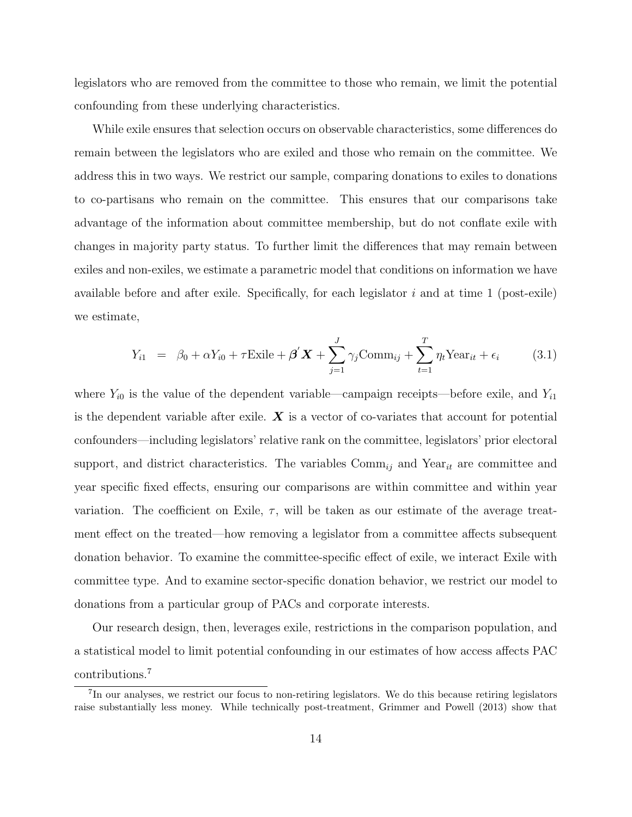legislators who are removed from the committee to those who remain, we limit the potential confounding from these underlying characteristics.

While exile ensures that selection occurs on observable characteristics, some differences do remain between the legislators who are exiled and those who remain on the committee. We address this in two ways. We restrict our sample, comparing donations to exiles to donations to co-partisans who remain on the committee. This ensures that our comparisons take advantage of the information about committee membership, but do not conflate exile with changes in majority party status. To further limit the differences that may remain between exiles and non-exiles, we estimate a parametric model that conditions on information we have available before and after exile. Specifically, for each legislator  $i$  and at time 1 (post-exile) we estimate,

$$
Y_{i1} = \beta_0 + \alpha Y_{i0} + \tau \text{Exile} + \beta' \mathbf{X} + \sum_{j=1}^{J} \gamma_j \text{Comm}_{ij} + \sum_{t=1}^{T} \eta_t \text{Year}_{it} + \epsilon_i \tag{3.1}
$$

where  $Y_{i0}$  is the value of the dependent variable—campaign receipts—before exile, and  $Y_{i1}$ is the dependent variable after exile.  $\boldsymbol{X}$  is a vector of co-variates that account for potential confounders—including legislators' relative rank on the committee, legislators' prior electoral support, and district characteristics. The variables  $\text{Comm}_{ij}$  and  $\text{Year}_{it}$  are committee and year specific fixed effects, ensuring our comparisons are within committee and within year variation. The coefficient on Exile,  $\tau$ , will be taken as our estimate of the average treatment effect on the treated—how removing a legislator from a committee affects subsequent donation behavior. To examine the committee-specific effect of exile, we interact Exile with committee type. And to examine sector-specific donation behavior, we restrict our model to donations from a particular group of PACs and corporate interests.

Our research design, then, leverages exile, restrictions in the comparison population, and a statistical model to limit potential confounding in our estimates of how access affects PAC contributions.<sup>7</sup>

<sup>&</sup>lt;sup>7</sup>In our analyses, we restrict our focus to non-retiring legislators. We do this because retiring legislators raise substantially less money. While technically post-treatment, Grimmer and Powell (2013) show that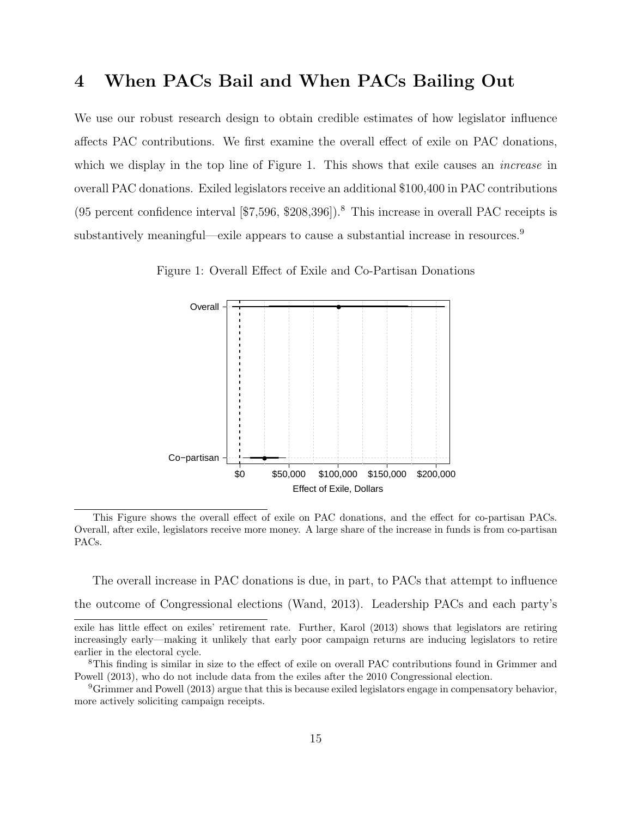### 4 When PACs Bail and When PACs Bailing Out

We use our robust research design to obtain credible estimates of how legislator influence affects PAC contributions. We first examine the overall effect of exile on PAC donations, which we display in the top line of Figure 1. This shows that exile causes an *increase* in overall PAC donations. Exiled legislators receive an additional \$100,400 in PAC contributions (95 percent confidence interval  $\lceil 57,596, $208,396 \rceil$ ).<sup>8</sup> This increase in overall PAC receipts is substantively meaningful—exile appears to cause a substantial increase in resources.<sup>9</sup>

Figure 1: Overall Effect of Exile and Co-Partisan Donations



This Figure shows the overall effect of exile on PAC donations, and the effect for co-partisan PACs. Overall, after exile, legislators receive more money. A large share of the increase in funds is from co-partisan PACs.

The overall increase in PAC donations is due, in part, to PACs that attempt to influence the outcome of Congressional elections (Wand, 2013). Leadership PACs and each party's

exile has little effect on exiles' retirement rate. Further, Karol (2013) shows that legislators are retiring increasingly early—making it unlikely that early poor campaign returns are inducing legislators to retire earlier in the electoral cycle.

<sup>8</sup>This finding is similar in size to the effect of exile on overall PAC contributions found in Grimmer and Powell (2013), who do not include data from the exiles after the 2010 Congressional election.

 ${}^{9}$ Grimmer and Powell (2013) argue that this is because exiled legislators engage in compensatory behavior, more actively soliciting campaign receipts.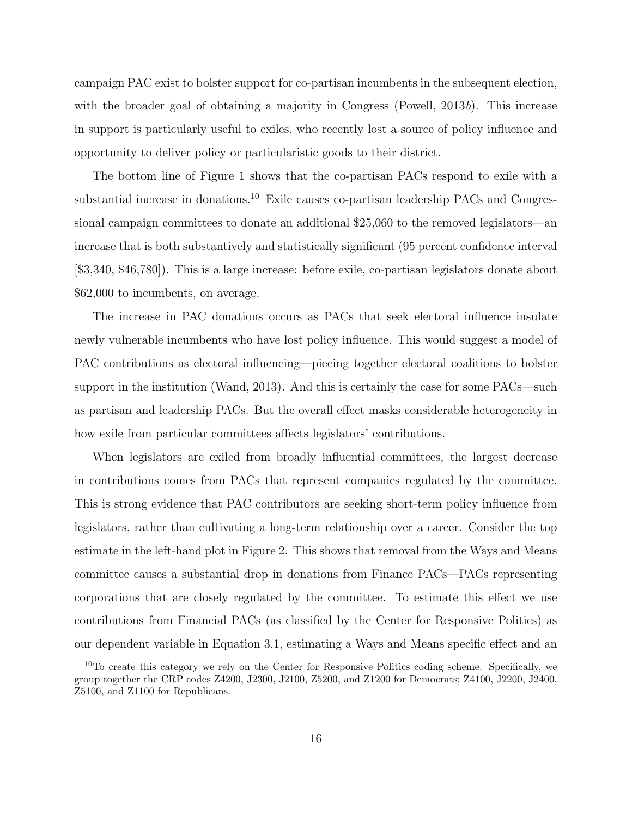campaign PAC exist to bolster support for co-partisan incumbents in the subsequent election, with the broader goal of obtaining a majority in Congress (Powell,  $2013b$ ). This increase in support is particularly useful to exiles, who recently lost a source of policy influence and opportunity to deliver policy or particularistic goods to their district.

The bottom line of Figure 1 shows that the co-partisan PACs respond to exile with a substantial increase in donations.<sup>10</sup> Exile causes co-partisan leadership PACs and Congressional campaign committees to donate an additional \$25,060 to the removed legislators—an increase that is both substantively and statistically significant (95 percent confidence interval [\$3,340, \$46,780]). This is a large increase: before exile, co-partisan legislators donate about \$62,000 to incumbents, on average.

The increase in PAC donations occurs as PACs that seek electoral influence insulate newly vulnerable incumbents who have lost policy influence. This would suggest a model of PAC contributions as electoral influencing—piecing together electoral coalitions to bolster support in the institution (Wand, 2013). And this is certainly the case for some PACs—such as partisan and leadership PACs. But the overall effect masks considerable heterogeneity in how exile from particular committees affects legislators' contributions.

When legislators are exiled from broadly influential committees, the largest decrease in contributions comes from PACs that represent companies regulated by the committee. This is strong evidence that PAC contributors are seeking short-term policy influence from legislators, rather than cultivating a long-term relationship over a career. Consider the top estimate in the left-hand plot in Figure 2. This shows that removal from the Ways and Means committee causes a substantial drop in donations from Finance PACs—PACs representing corporations that are closely regulated by the committee. To estimate this effect we use contributions from Financial PACs (as classified by the Center for Responsive Politics) as our dependent variable in Equation 3.1, estimating a Ways and Means specific effect and an

<sup>&</sup>lt;sup>10</sup>To create this category we rely on the Center for Responsive Politics coding scheme. Specifically, we group together the CRP codes Z4200, J2300, J2100, Z5200, and Z1200 for Democrats; Z4100, J2200, J2400, Z5100, and Z1100 for Republicans.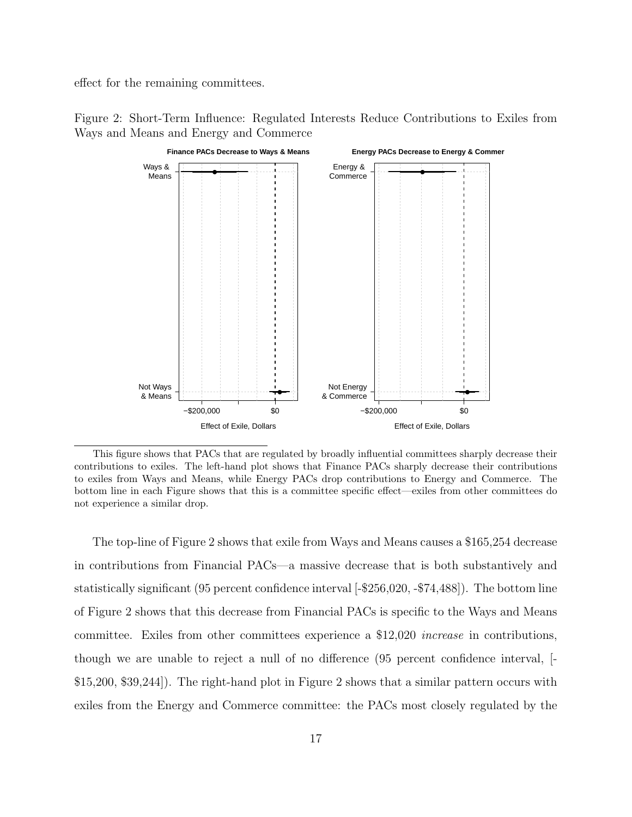effect for the remaining committees.



Figure 2: Short-Term Influence: Regulated Interests Reduce Contributions to Exiles from Ways and Means and Energy and Commerce

This figure shows that PACs that are regulated by broadly influential committees sharply decrease their contributions to exiles. The left-hand plot shows that Finance PACs sharply decrease their contributions to exiles from Ways and Means, while Energy PACs drop contributions to Energy and Commerce. The bottom line in each Figure shows that this is a committee specific effect—exiles from other committees do not experience a similar drop.

The top-line of Figure 2 shows that exile from Ways and Means causes a \$165,254 decrease in contributions from Financial PACs—a massive decrease that is both substantively and statistically significant (95 percent confidence interval [-\$256,020, -\$74,488]). The bottom line of Figure 2 shows that this decrease from Financial PACs is specific to the Ways and Means committee. Exiles from other committees experience a \$12,020 increase in contributions, though we are unable to reject a null of no difference (95 percent confidence interval, [- \$15,200, \$39,244]). The right-hand plot in Figure 2 shows that a similar pattern occurs with exiles from the Energy and Commerce committee: the PACs most closely regulated by the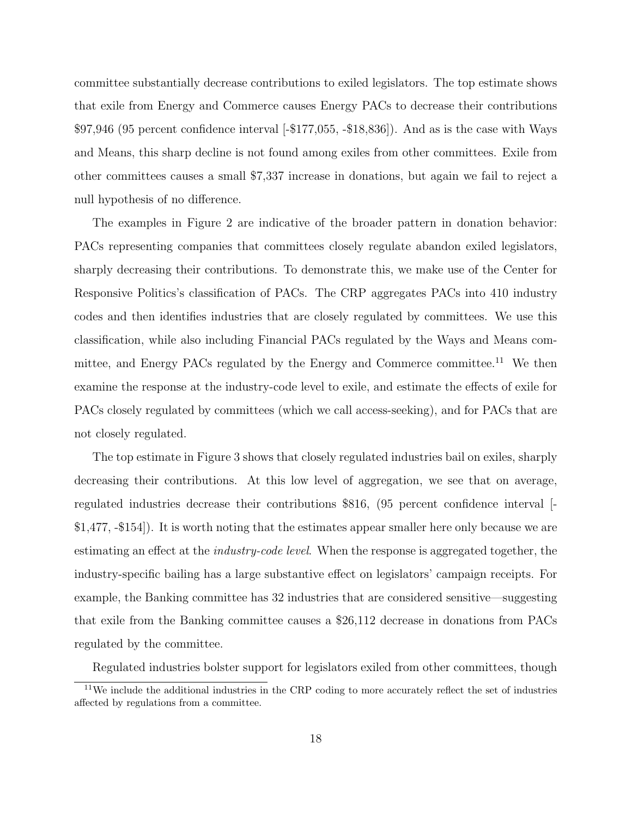committee substantially decrease contributions to exiled legislators. The top estimate shows that exile from Energy and Commerce causes Energy PACs to decrease their contributions \$97,946 (95 percent confidence interval [-\$177,055, -\$18,836]). And as is the case with Ways and Means, this sharp decline is not found among exiles from other committees. Exile from other committees causes a small \$7,337 increase in donations, but again we fail to reject a null hypothesis of no difference.

The examples in Figure 2 are indicative of the broader pattern in donation behavior: PACs representing companies that committees closely regulate abandon exiled legislators, sharply decreasing their contributions. To demonstrate this, we make use of the Center for Responsive Politics's classification of PACs. The CRP aggregates PACs into 410 industry codes and then identifies industries that are closely regulated by committees. We use this classification, while also including Financial PACs regulated by the Ways and Means committee, and Energy PACs regulated by the Energy and Commerce committee.<sup>11</sup> We then examine the response at the industry-code level to exile, and estimate the effects of exile for PACs closely regulated by committees (which we call access-seeking), and for PACs that are not closely regulated.

The top estimate in Figure 3 shows that closely regulated industries bail on exiles, sharply decreasing their contributions. At this low level of aggregation, we see that on average, regulated industries decrease their contributions \$816, (95 percent confidence interval [- \$1,477, -\$154]). It is worth noting that the estimates appear smaller here only because we are estimating an effect at the *industry-code level*. When the response is aggregated together, the industry-specific bailing has a large substantive effect on legislators' campaign receipts. For example, the Banking committee has 32 industries that are considered sensitive—suggesting that exile from the Banking committee causes a \$26,112 decrease in donations from PACs regulated by the committee.

Regulated industries bolster support for legislators exiled from other committees, though

<sup>&</sup>lt;sup>11</sup>We include the additional industries in the CRP coding to more accurately reflect the set of industries affected by regulations from a committee.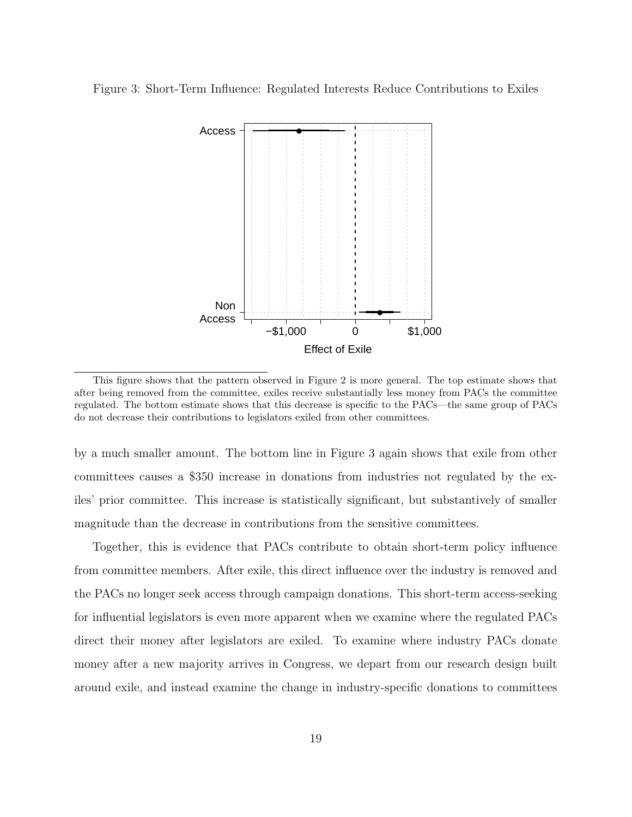Figure 3: Short-Term Influence: Regulated Interests Reduce Contributions to Exiles



This figure shows that the pattern observed in Figure 2 is more general. The top estimate shows that after being removed from the committee, exiles receive substantially less money from PACs the committee regulated. The bottom estimate shows that this decrease is specific to the PACs—the same group of PACs do not decrease their contributions to legislators exiled from other committees.

by a much smaller amount. The bottom line in Figure 3 again shows that exile from other committees causes a \$350 increase in donations from industries not regulated by the exiles' prior committee. This increase is statistically significant, but substantively of smaller magnitude than the decrease in contributions from the sensitive committees.

Together, this is evidence that PACs contribute to obtain short-term policy influence from committee members. After exile, this direct influence over the industry is removed and the PACs no longer seek access through campaign donations. This short-term access-seeking for influential legislators is even more apparent when we examine where the regulated PACs direct their money after legislators are exiled. To examine where industry PACs donate money after a new majority arrives in Congress, we depart from our research design built around exile, and instead examine the change in industry-specific donations to committees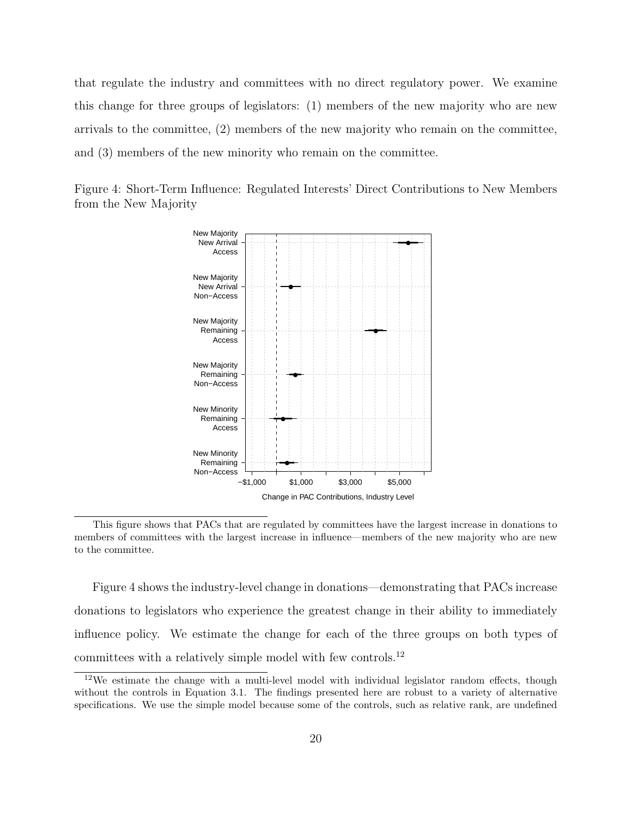that regulate the industry and committees with no direct regulatory power. We examine this change for three groups of legislators: (1) members of the new majority who are new arrivals to the committee, (2) members of the new majority who remain on the committee, and (3) members of the new minority who remain on the committee.





This figure shows that PACs that are regulated by committees have the largest increase in donations to members of committees with the largest increase in influence—members of the new majority who are new to the committee.

Figure 4 shows the industry-level change in donations—demonstrating that PACs increase donations to legislators who experience the greatest change in their ability to immediately influence policy. We estimate the change for each of the three groups on both types of committees with a relatively simple model with few controls.<sup>12</sup>

<sup>&</sup>lt;sup>12</sup>We estimate the change with a multi-level model with individual legislator random effects, though without the controls in Equation 3.1. The findings presented here are robust to a variety of alternative specifications. We use the simple model because some of the controls, such as relative rank, are undefined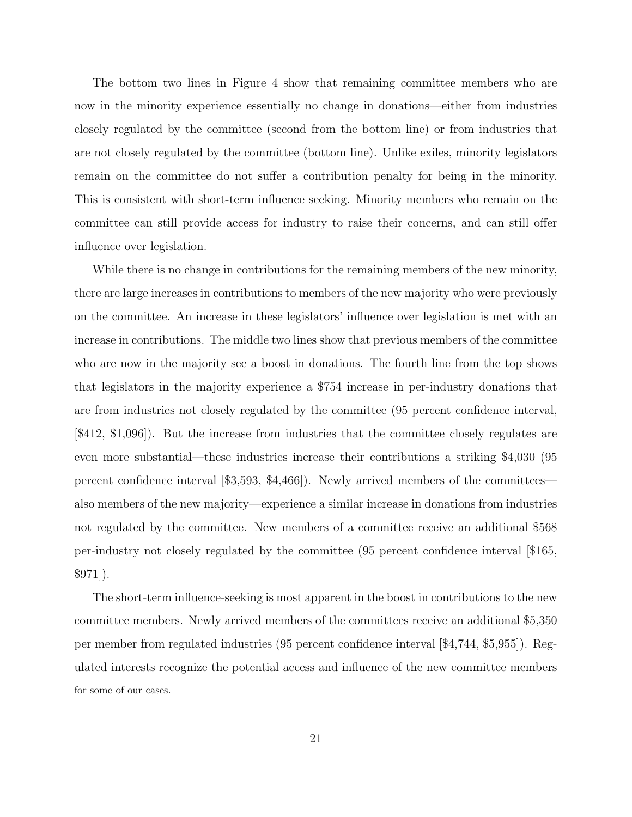The bottom two lines in Figure 4 show that remaining committee members who are now in the minority experience essentially no change in donations—either from industries closely regulated by the committee (second from the bottom line) or from industries that are not closely regulated by the committee (bottom line). Unlike exiles, minority legislators remain on the committee do not suffer a contribution penalty for being in the minority. This is consistent with short-term influence seeking. Minority members who remain on the committee can still provide access for industry to raise their concerns, and can still offer influence over legislation.

While there is no change in contributions for the remaining members of the new minority, there are large increases in contributions to members of the new majority who were previously on the committee. An increase in these legislators' influence over legislation is met with an increase in contributions. The middle two lines show that previous members of the committee who are now in the majority see a boost in donations. The fourth line from the top shows that legislators in the majority experience a \$754 increase in per-industry donations that are from industries not closely regulated by the committee (95 percent confidence interval, [\$412, \$1,096]). But the increase from industries that the committee closely regulates are even more substantial—these industries increase their contributions a striking \$4,030 (95 percent confidence interval [\$3,593, \$4,466]). Newly arrived members of the committees also members of the new majority—experience a similar increase in donations from industries not regulated by the committee. New members of a committee receive an additional \$568 per-industry not closely regulated by the committee (95 percent confidence interval [\$165, \$971]).

The short-term influence-seeking is most apparent in the boost in contributions to the new committee members. Newly arrived members of the committees receive an additional \$5,350 per member from regulated industries (95 percent confidence interval [\$4,744, \$5,955]). Regulated interests recognize the potential access and influence of the new committee members

for some of our cases.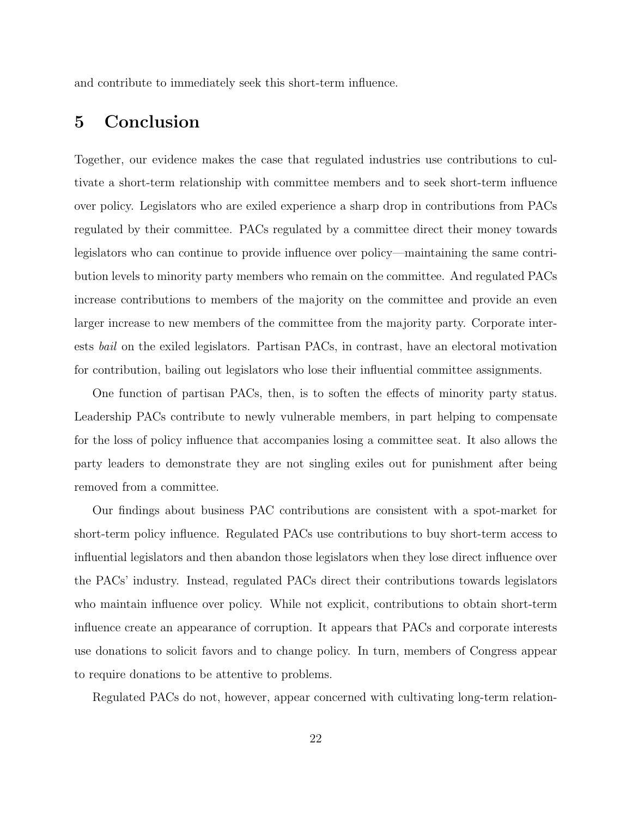and contribute to immediately seek this short-term influence.

## 5 Conclusion

Together, our evidence makes the case that regulated industries use contributions to cultivate a short-term relationship with committee members and to seek short-term influence over policy. Legislators who are exiled experience a sharp drop in contributions from PACs regulated by their committee. PACs regulated by a committee direct their money towards legislators who can continue to provide influence over policy—maintaining the same contribution levels to minority party members who remain on the committee. And regulated PACs increase contributions to members of the majority on the committee and provide an even larger increase to new members of the committee from the majority party. Corporate interests bail on the exiled legislators. Partisan PACs, in contrast, have an electoral motivation for contribution, bailing out legislators who lose their influential committee assignments.

One function of partisan PACs, then, is to soften the effects of minority party status. Leadership PACs contribute to newly vulnerable members, in part helping to compensate for the loss of policy influence that accompanies losing a committee seat. It also allows the party leaders to demonstrate they are not singling exiles out for punishment after being removed from a committee.

Our findings about business PAC contributions are consistent with a spot-market for short-term policy influence. Regulated PACs use contributions to buy short-term access to influential legislators and then abandon those legislators when they lose direct influence over the PACs' industry. Instead, regulated PACs direct their contributions towards legislators who maintain influence over policy. While not explicit, contributions to obtain short-term influence create an appearance of corruption. It appears that PACs and corporate interests use donations to solicit favors and to change policy. In turn, members of Congress appear to require donations to be attentive to problems.

Regulated PACs do not, however, appear concerned with cultivating long-term relation-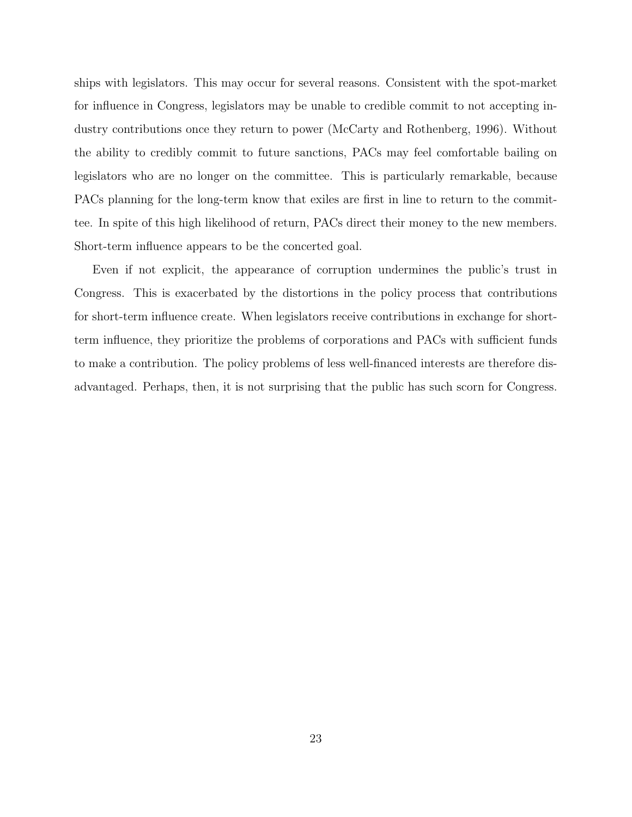ships with legislators. This may occur for several reasons. Consistent with the spot-market for influence in Congress, legislators may be unable to credible commit to not accepting industry contributions once they return to power (McCarty and Rothenberg, 1996). Without the ability to credibly commit to future sanctions, PACs may feel comfortable bailing on legislators who are no longer on the committee. This is particularly remarkable, because PACs planning for the long-term know that exiles are first in line to return to the committee. In spite of this high likelihood of return, PACs direct their money to the new members. Short-term influence appears to be the concerted goal.

Even if not explicit, the appearance of corruption undermines the public's trust in Congress. This is exacerbated by the distortions in the policy process that contributions for short-term influence create. When legislators receive contributions in exchange for shortterm influence, they prioritize the problems of corporations and PACs with sufficient funds to make a contribution. The policy problems of less well-financed interests are therefore disadvantaged. Perhaps, then, it is not surprising that the public has such scorn for Congress.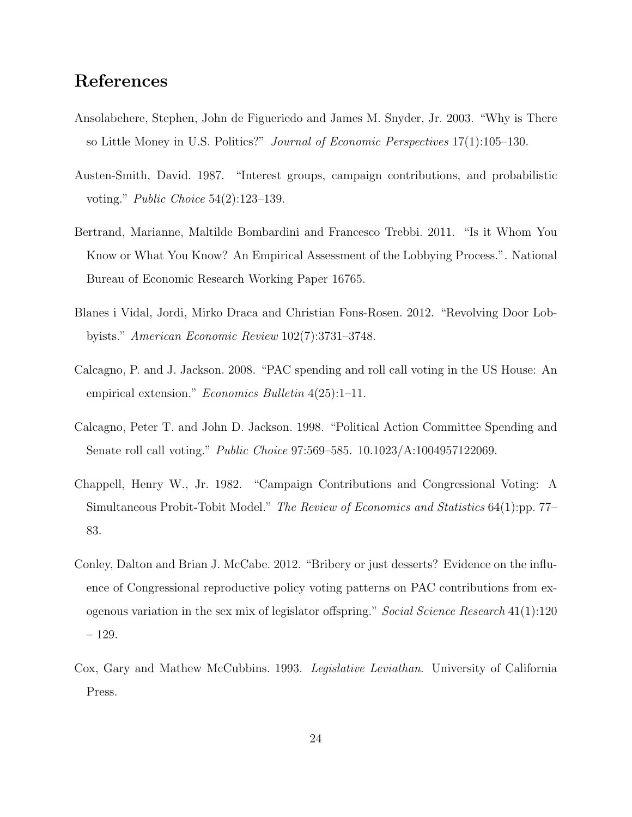## References

- Ansolabehere, Stephen, John de Figueriedo and James M. Snyder, Jr. 2003. "Why is There so Little Money in U.S. Politics?" Journal of Economic Perspectives 17(1):105–130.
- Austen-Smith, David. 1987. "Interest groups, campaign contributions, and probabilistic voting." Public Choice 54(2):123–139.
- Bertrand, Marianne, Maltilde Bombardini and Francesco Trebbi. 2011. "Is it Whom You Know or What You Know? An Empirical Assessment of the Lobbying Process.". National Bureau of Economic Research Working Paper 16765.
- Blanes i Vidal, Jordi, Mirko Draca and Christian Fons-Rosen. 2012. "Revolving Door Lobbyists." American Economic Review 102(7):3731–3748.
- Calcagno, P. and J. Jackson. 2008. "PAC spending and roll call voting in the US House: An empirical extension." Economics Bulletin 4(25):1-11.
- Calcagno, Peter T. and John D. Jackson. 1998. "Political Action Committee Spending and Senate roll call voting." Public Choice 97:569–585. 10.1023/A:1004957122069.
- Chappell, Henry W., Jr. 1982. "Campaign Contributions and Congressional Voting: A Simultaneous Probit-Tobit Model." The Review of Economics and Statistics 64(1):pp. 77– 83.
- Conley, Dalton and Brian J. McCabe. 2012. "Bribery or just desserts? Evidence on the influence of Congressional reproductive policy voting patterns on PAC contributions from exogenous variation in the sex mix of legislator offspring." Social Science Research 41(1):120 – 129.
- Cox, Gary and Mathew McCubbins. 1993. Legislative Leviathan. University of California Press.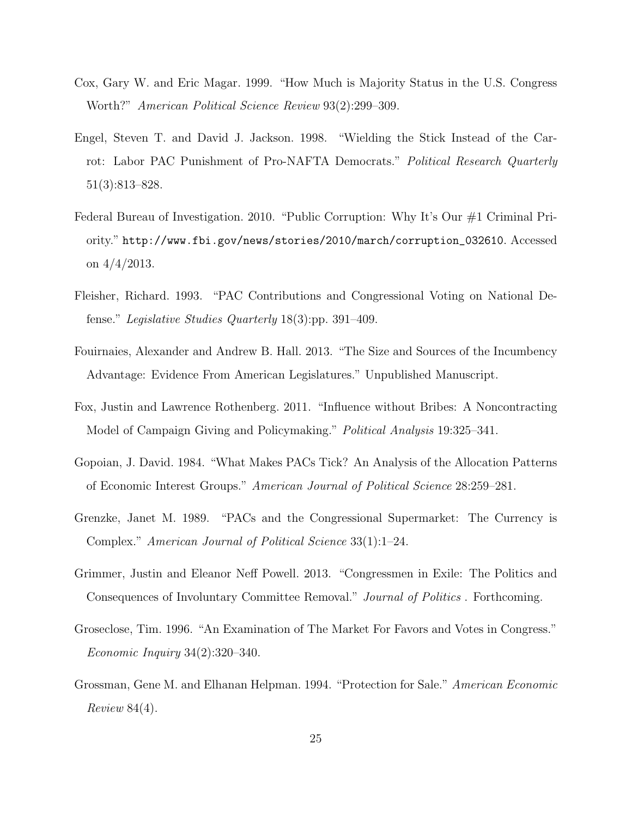- Cox, Gary W. and Eric Magar. 1999. "How Much is Majority Status in the U.S. Congress Worth?" American Political Science Review 93(2):299–309.
- Engel, Steven T. and David J. Jackson. 1998. "Wielding the Stick Instead of the Carrot: Labor PAC Punishment of Pro-NAFTA Democrats." Political Research Quarterly 51(3):813–828.
- Federal Bureau of Investigation. 2010. "Public Corruption: Why It's Our #1 Criminal Priority." http://www.fbi.gov/news/stories/2010/march/corruption\_032610. Accessed on 4/4/2013.
- Fleisher, Richard. 1993. "PAC Contributions and Congressional Voting on National Defense." Legislative Studies Quarterly 18(3):pp. 391–409.
- Fouirnaies, Alexander and Andrew B. Hall. 2013. "The Size and Sources of the Incumbency Advantage: Evidence From American Legislatures." Unpublished Manuscript.
- Fox, Justin and Lawrence Rothenberg. 2011. "Influence without Bribes: A Noncontracting Model of Campaign Giving and Policymaking." Political Analysis 19:325–341.
- Gopoian, J. David. 1984. "What Makes PACs Tick? An Analysis of the Allocation Patterns of Economic Interest Groups." American Journal of Political Science 28:259–281.
- Grenzke, Janet M. 1989. "PACs and the Congressional Supermarket: The Currency is Complex." American Journal of Political Science 33(1):1–24.
- Grimmer, Justin and Eleanor Neff Powell. 2013. "Congressmen in Exile: The Politics and Consequences of Involuntary Committee Removal." Journal of Politics . Forthcoming.
- Groseclose, Tim. 1996. "An Examination of The Market For Favors and Votes in Congress." Economic Inquiry 34(2):320–340.
- Grossman, Gene M. and Elhanan Helpman. 1994. "Protection for Sale." American Economic Review 84(4).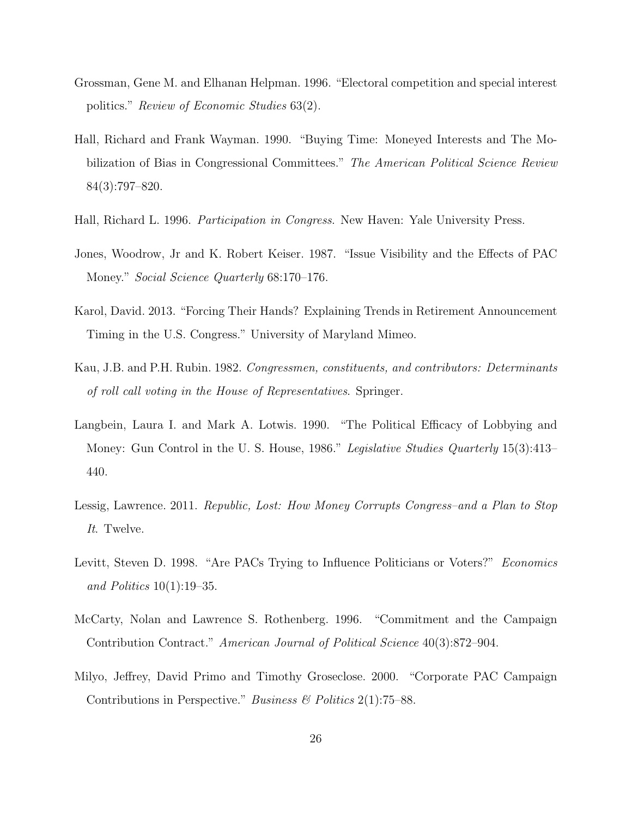- Grossman, Gene M. and Elhanan Helpman. 1996. "Electoral competition and special interest politics." Review of Economic Studies 63(2).
- Hall, Richard and Frank Wayman. 1990. "Buying Time: Moneyed Interests and The Mobilization of Bias in Congressional Committees." The American Political Science Review 84(3):797–820.
- Hall, Richard L. 1996. Participation in Congress. New Haven: Yale University Press.
- Jones, Woodrow, Jr and K. Robert Keiser. 1987. "Issue Visibility and the Effects of PAC Money." Social Science Quarterly 68:170–176.
- Karol, David. 2013. "Forcing Their Hands? Explaining Trends in Retirement Announcement Timing in the U.S. Congress." University of Maryland Mimeo.
- Kau, J.B. and P.H. Rubin. 1982. Congressmen, constituents, and contributors: Determinants of roll call voting in the House of Representatives. Springer.
- Langbein, Laura I. and Mark A. Lotwis. 1990. "The Political Efficacy of Lobbying and Money: Gun Control in the U.S. House, 1986." Legislative Studies Quarterly 15(3):413– 440.
- Lessig, Lawrence. 2011. Republic, Lost: How Money Corrupts Congress–and a Plan to Stop It. Twelve.
- Levitt, Steven D. 1998. "Are PACs Trying to Influence Politicians or Voters?" Economics and Politics  $10(1):19-35$ .
- McCarty, Nolan and Lawrence S. Rothenberg. 1996. "Commitment and the Campaign Contribution Contract." American Journal of Political Science 40(3):872–904.
- Milyo, Jeffrey, David Primo and Timothy Groseclose. 2000. "Corporate PAC Campaign Contributions in Perspective." Business  $\mathcal{B}$  Politics 2(1):75–88.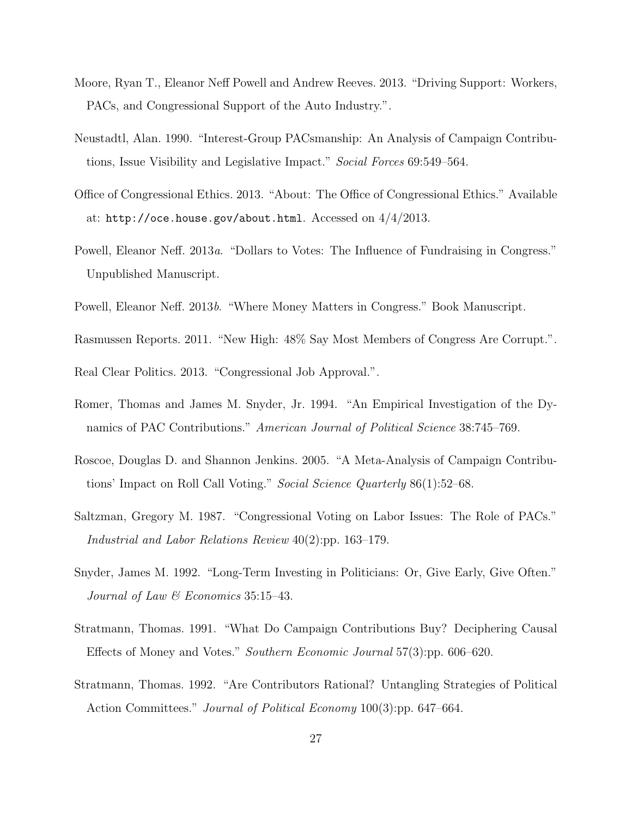- Moore, Ryan T., Eleanor Neff Powell and Andrew Reeves. 2013. "Driving Support: Workers, PACs, and Congressional Support of the Auto Industry.".
- Neustadtl, Alan. 1990. "Interest-Group PACsmanship: An Analysis of Campaign Contributions, Issue Visibility and Legislative Impact." Social Forces 69:549–564.
- Office of Congressional Ethics. 2013. "About: The Office of Congressional Ethics." Available at: http://oce.house.gov/about.html. Accessed on 4/4/2013.
- Powell, Eleanor Neff. 2013a. "Dollars to Votes: The Influence of Fundraising in Congress." Unpublished Manuscript.
- Powell, Eleanor Neff. 2013b. "Where Money Matters in Congress." Book Manuscript.
- Rasmussen Reports. 2011. "New High: 48% Say Most Members of Congress Are Corrupt.".
- Real Clear Politics. 2013. "Congressional Job Approval.".
- Romer, Thomas and James M. Snyder, Jr. 1994. "An Empirical Investigation of the Dynamics of PAC Contributions." American Journal of Political Science 38:745–769.
- Roscoe, Douglas D. and Shannon Jenkins. 2005. "A Meta-Analysis of Campaign Contributions' Impact on Roll Call Voting." Social Science Quarterly 86(1):52–68.
- Saltzman, Gregory M. 1987. "Congressional Voting on Labor Issues: The Role of PACs." Industrial and Labor Relations Review 40(2):pp. 163–179.
- Snyder, James M. 1992. "Long-Term Investing in Politicians: Or, Give Early, Give Often." Journal of Law & Economics 35:15–43.
- Stratmann, Thomas. 1991. "What Do Campaign Contributions Buy? Deciphering Causal Effects of Money and Votes." Southern Economic Journal 57(3):pp. 606–620.
- Stratmann, Thomas. 1992. "Are Contributors Rational? Untangling Strategies of Political Action Committees." Journal of Political Economy 100(3):pp. 647–664.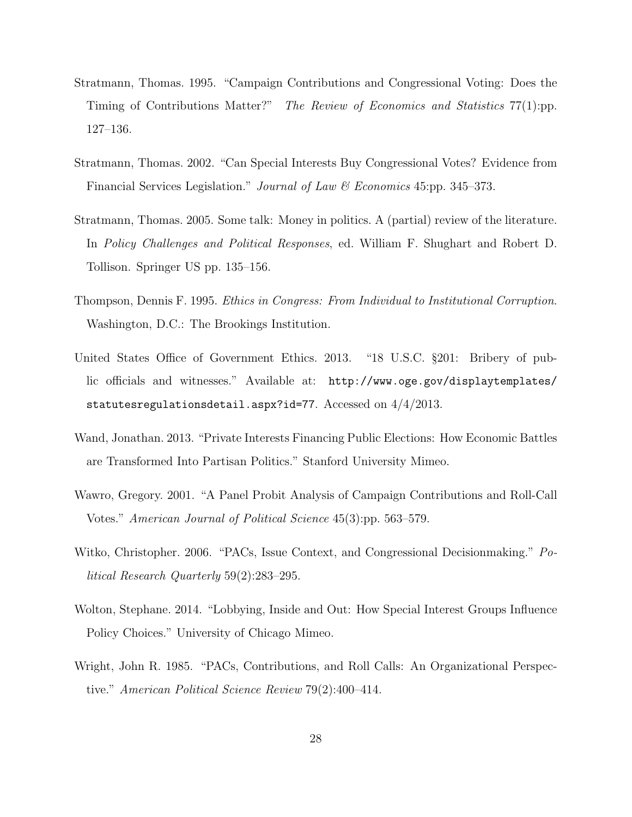- Stratmann, Thomas. 1995. "Campaign Contributions and Congressional Voting: Does the Timing of Contributions Matter?" The Review of Economics and Statistics 77(1):pp. 127–136.
- Stratmann, Thomas. 2002. "Can Special Interests Buy Congressional Votes? Evidence from Financial Services Legislation." *Journal of Law & Economics* 45:pp. 345–373.
- Stratmann, Thomas. 2005. Some talk: Money in politics. A (partial) review of the literature. In Policy Challenges and Political Responses, ed. William F. Shughart and Robert D. Tollison. Springer US pp. 135–156.
- Thompson, Dennis F. 1995. Ethics in Congress: From Individual to Institutional Corruption. Washington, D.C.: The Brookings Institution.
- United States Office of Government Ethics. 2013. "18 U.S.C. §201: Bribery of public officials and witnesses." Available at: http://www.oge.gov/displaytemplates/ statutesregulationsdetail.aspx?id=77. Accessed on 4/4/2013.
- Wand, Jonathan. 2013. "Private Interests Financing Public Elections: How Economic Battles are Transformed Into Partisan Politics." Stanford University Mimeo.
- Wawro, Gregory. 2001. "A Panel Probit Analysis of Campaign Contributions and Roll-Call Votes." American Journal of Political Science 45(3):pp. 563–579.
- Witko, Christopher. 2006. "PACs, Issue Context, and Congressional Decisionmaking." Political Research Quarterly 59(2):283–295.
- Wolton, Stephane. 2014. "Lobbying, Inside and Out: How Special Interest Groups Influence Policy Choices." University of Chicago Mimeo.
- Wright, John R. 1985. "PACs, Contributions, and Roll Calls: An Organizational Perspective." American Political Science Review 79(2):400–414.